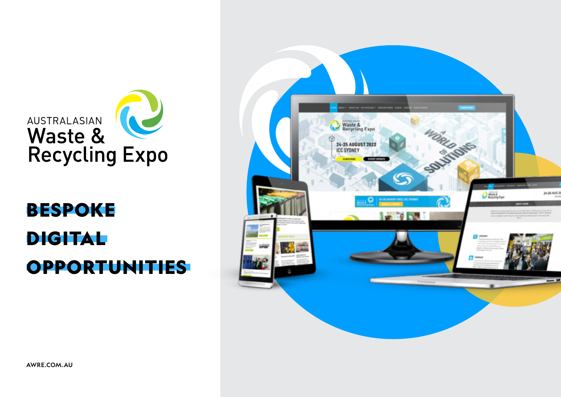

# **DIGITAL OPPORTUNITIES** BESPOKE

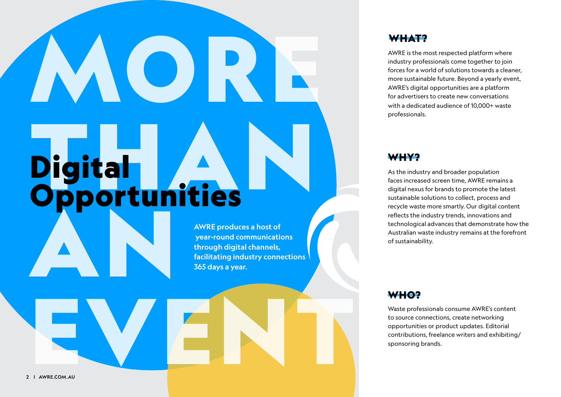# MORE Digital<br>Opportunities AN Digital **Opportunities**

AWRE produces a host of year-round communications through digital channels, facilitating industry connections 365 days a year.

### WHAT?

AWRE is the most respected platform where industry professionals come together to join forces for a world of solutions towards a cleaner, more sustainable future. Beyond a yearly event, AWRE's digital opportunities are a platform for advertisers to create new conversations with a dedicated audience of 10,000+ waste professionals.

### WHY?

As the industry and broader population faces increased screen time, AWRE remains a digital nexus for brands to promote the latest sustainable solutions to collect, process and recycle waste more smartly. Our digital content reflects the industry trends, innovations and technological advances that demonstrate how the Australian waste industry remains at the forefront of sustainability.

### WHO?

Waste professionals consume AWRE's content to source connections, create networking opportunities or product updates. Editorial contributions, freelance writers and exhibiting/ sponsoring brands.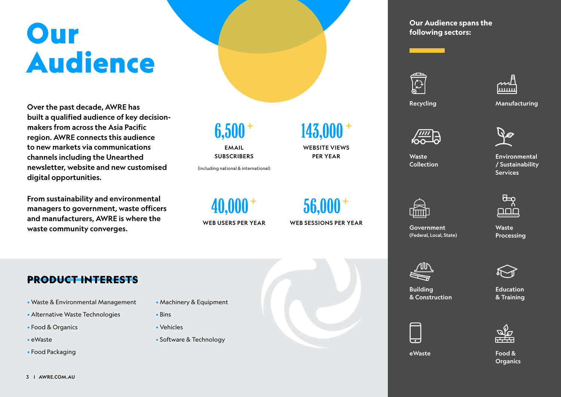# **Our** Audience

Over the past decade, AWRE has built a qualified audience of key decisionmakers from across the Asia Pacific region. AWRE connects this audience to new markets via communications channels including the Unearthed newsletter, website and new customised digital opportunities.

From sustainability and environmental managers to government, waste officers and manufacturers, AWRE is where the waste community converges.

# 6,500<sup>+</sup>

**EMAIL SUBSCRIBERS** 

(including national & international)

40,000<sup>+</sup> WEB USERS PER YEAR 143,000 <sup>+</sup>

WEBSITE VIEWS PER YEAR

56,000<sup>+</sup> WEB SESSIONS PER YEAR **Our Audience spans the following sectors:**





Recycling Manufacturing



Waste Collection

**Environmental** / Sustainability

**Services** 



Government (Federal, Local, State) Waste Processing



eWaste

Building & Construction

Education & Training



Food & **Organics** 

### PRODUCT INTERESTS

- Waste & Environmental Management
- Alternative Waste Technologies
- Food & Organics
- eWaste
- Food Packaging
- Machinery & Equipment
- Bins
- Vehicles
- Software & Technology





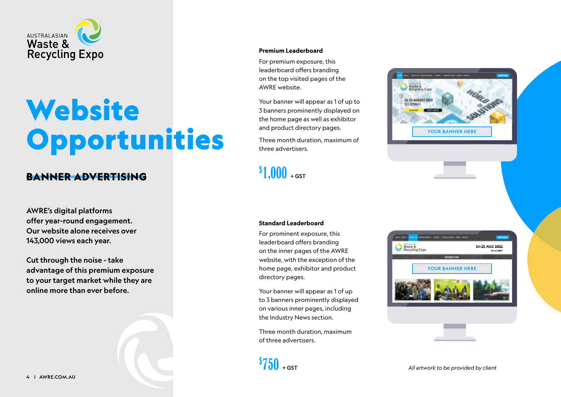

# **Website Opportunities**

### BANNER ADVERTISING

AWRE's digital platforms offer year-round engagement. Our website alone receives over 143,000 views each year.

Cut through the noise - take advantage of this premium exposure to your target market while they are online more than ever before.

#### **Premium Leaderboard**

For premium exposure, this leaderboard offers branding on the top visited pages of the AWRE website.

Your banner will appear as 1 of up to 3 banners prominently displayed on the home page as well as exhibitor and product directory pages.

Three month duration, maximum of three advertisers.

 $$1,000$  + GST



#### **Standard Leaderboard**

For prominent exposure, this leaderboard offers branding on the inner pages of the AWRE website, with the exception of the home page, exhibitor and product directory pages.

Your banner will appear as 1 of up to 3 banners prominently displayed on various inner pages, including the Industry News section.

Three month duration, maximum of three advertisers.

 $$750}_{+551}$ 

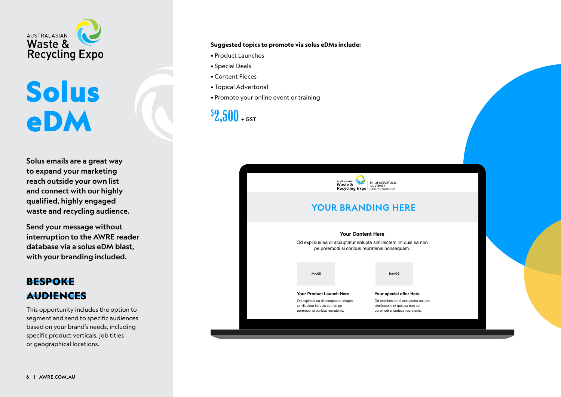

# **Solus** eDM

Solus emails are a great way to expand your marketing reach outside your own list and connect with our highly qualified, highly engaged waste and recycling audience.

Send your message without interruption to the AWRE reader database via a solus eDM blast, with your branding included.

### BESPOKE AUDIENCES

This opportunity includes the option to segment and send to specific audiences based on your brand's needs, including specific product verticals, job titles or geographical locations.

#### **Suggested topics to promote via solus eDMs include:**

- Product Launches
- Special Deals
- Content Pieces
- Topical Advertorial
- Promote your online event or training

 $$2,500$  + GST



### YOUR BRANDING HERE

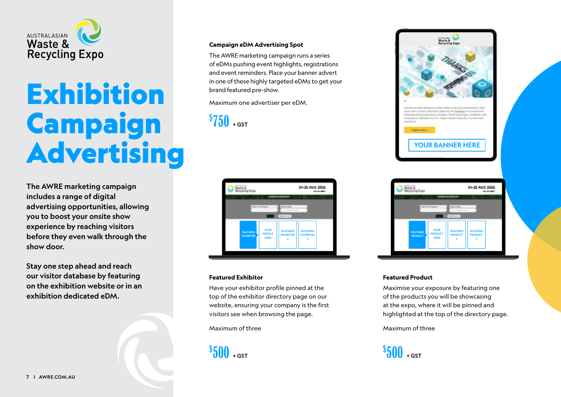

# **Exhibition** Campaign Advertising

The AWRE marketing campaign includes a range of digital advertising opportunities, allowing you to boost your onsite show experience by reaching visitors before they even walk through the show door.

Stay one step ahead and reach our visitor database by featuring on the exhibition website or in an exhibition dedicated eDM.

#### **Campaign eDM Advertising Spot**

The AWRE marketing campaign runs a series of eDMs pushing event highlights, registrations and event reminders. Place your banner advert in one of these highly targeted eDMs to get your brand featured pre-show.

Maximum one advertiser per eDM.

 $$750$  + gst



#### **Featured Exhibitor**

Have your exhibitor profile pinned at the top of the exhibitor directory page on our website, ensuring your company is the first visitors see when browsing the page.

Maximum of three

 $$500$  + GST





#### **Featured Product**

Maximise your exposure by featuring one of the products you will be showcasing at the expo, where it will be pinned and highlighted at the top of the directory page.

#### Maximum of three

 $$500$  + GST